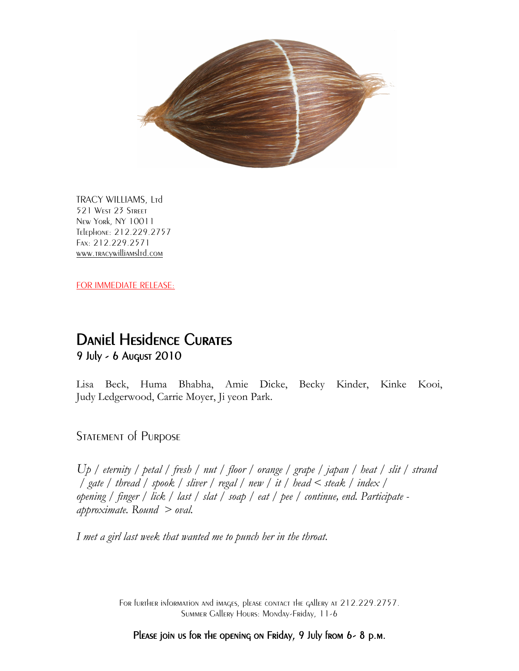

TRACY WILLIAMS, Ltd 521 West 23 Street New York, NY 10011 Telephone: 212.229.2757 Fax: 212.229.2571 www.tracywilliamsltd.com

FOR IMMEDIATE RELEASE:

## Daniel Hesidence Curates 9 July - 6 August 2010

Lisa Beck, Huma Bhabha, Amie Dicke, Becky Kinder, Kinke Kooi, Judy Ledgerwood, Carrie Moyer, Ji yeon Park.

## STATEMENT of PURPOSE

*Up / eternity / petal / fresh / nut / floor / orange / grape / japan / heat / slit / strand / gate / thread / spook / sliver / regal / new / it / head < steak / index / opening / finger / lick / last / slat / soap / eat / pee / continue, end. Participate approximate. Round > oval.*

*I met a girl last week that wanted me to punch her in the throat.*

For further information and images, please contact the gallery at 212.229.2757. Summer Gallery Hours: Monday-Friday, 11-6

Please join us for the opening on Friday, 9 July from 6-8 p.m.